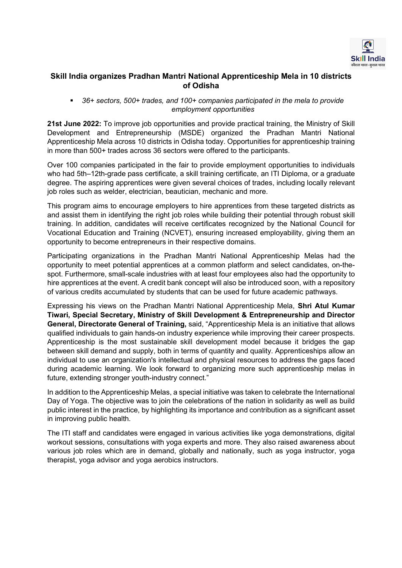

## Skill India organizes Pradhan Mantri National Apprenticeship Mela in 10 districts of Odisha

 36+ sectors, 500+ trades, and 100+ companies participated in the mela to provide employment opportunities

21st June 2022: To improve job opportunities and provide practical training, the Ministry of Skill Development and Entrepreneurship (MSDE) organized the Pradhan Mantri National Apprenticeship Mela across 10 districts in Odisha today. Opportunities for apprenticeship training in more than 500+ trades across 36 sectors were offered to the participants.

Over 100 companies participated in the fair to provide employment opportunities to individuals who had 5th–12th-grade pass certificate, a skill training certificate, an ITI Diploma, or a graduate degree. The aspiring apprentices were given several choices of trades, including locally relevant job roles such as welder, electrician, beautician, mechanic and more.

This program aims to encourage employers to hire apprentices from these targeted districts as and assist them in identifying the right job roles while building their potential through robust skill training. In addition, candidates will receive certificates recognized by the National Council for Vocational Education and Training (NCVET), ensuring increased employability, giving them an opportunity to become entrepreneurs in their respective domains.

Participating organizations in the Pradhan Mantri National Apprenticeship Melas had the opportunity to meet potential apprentices at a common platform and select candidates, on-thespot. Furthermore, small-scale industries with at least four employees also had the opportunity to hire apprentices at the event. A credit bank concept will also be introduced soon, with a repository of various credits accumulated by students that can be used for future academic pathways.

Expressing his views on the Pradhan Mantri National Apprenticeship Mela, Shri Atul Kumar Tiwari, Special Secretary, Ministry of Skill Development & Entrepreneurship and Director General, Directorate General of Training, said, "Apprenticeship Mela is an initiative that allows qualified individuals to gain hands-on industry experience while improving their career prospects. Apprenticeship is the most sustainable skill development model because it bridges the gap between skill demand and supply, both in terms of quantity and quality. Apprenticeships allow an individual to use an organization's intellectual and physical resources to address the gaps faced during academic learning. We look forward to organizing more such apprenticeship melas in future, extending stronger youth-industry connect."

In addition to the Apprenticeship Melas, a special initiative was taken to celebrate the International Day of Yoga. The objective was to join the celebrations of the nation in solidarity as well as build public interest in the practice, by highlighting its importance and contribution as a significant asset in improving public health.

The ITI staff and candidates were engaged in various activities like yoga demonstrations, digital workout sessions, consultations with yoga experts and more. They also raised awareness about various job roles which are in demand, globally and nationally, such as yoga instructor, yoga therapist, yoga advisor and yoga aerobics instructors.